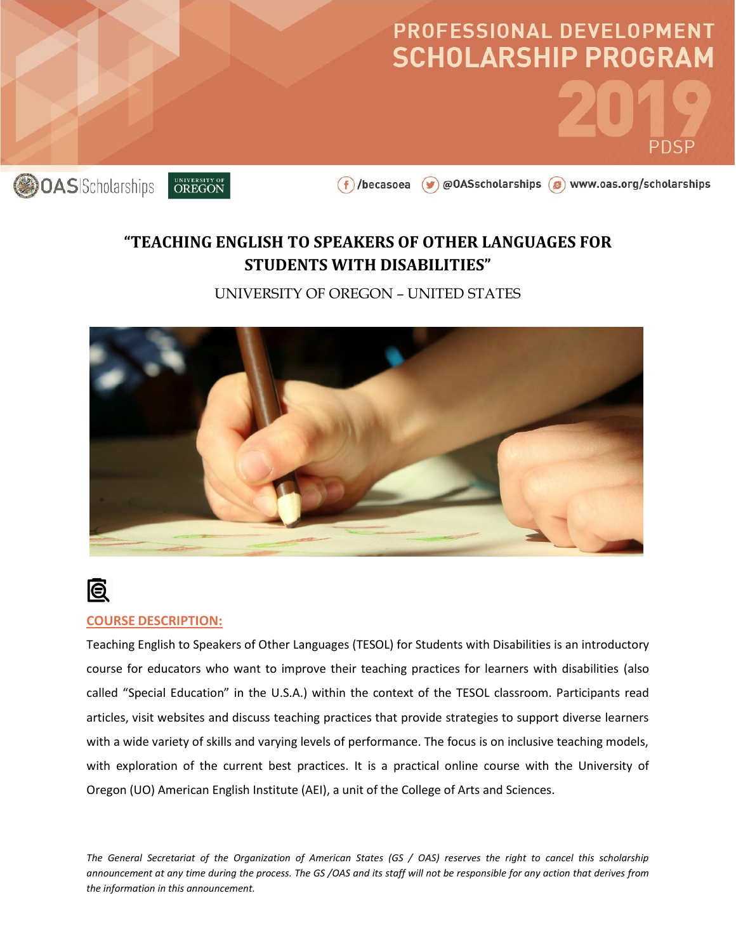

### **"TEACHING ENGLISH TO SPEAKERS OF OTHER LANGUAGES FOR STUDENTS WITH DISABILITIES"**

UNIVERSITY OF OREGON – UNITED STATES



## **Q**

#### **COURSE DESCRIPTION:**

Teaching English to Speakers of Other Languages (TESOL) for Students with Disabilities is an introductory course for educators who want to improve their teaching practices for learners with disabilities (also called "Special Education" in the U.S.A.) within the context of the TESOL classroom. Participants read articles, visit websites and discuss teaching practices that provide strategies to support diverse learners with a wide variety of skills and varying levels of performance. The focus is on inclusive teaching models, with exploration of the current best practices. It is a practical online course with the University of Oregon (UO) American English Institute (AEI), a unit of the College of Arts and Sciences.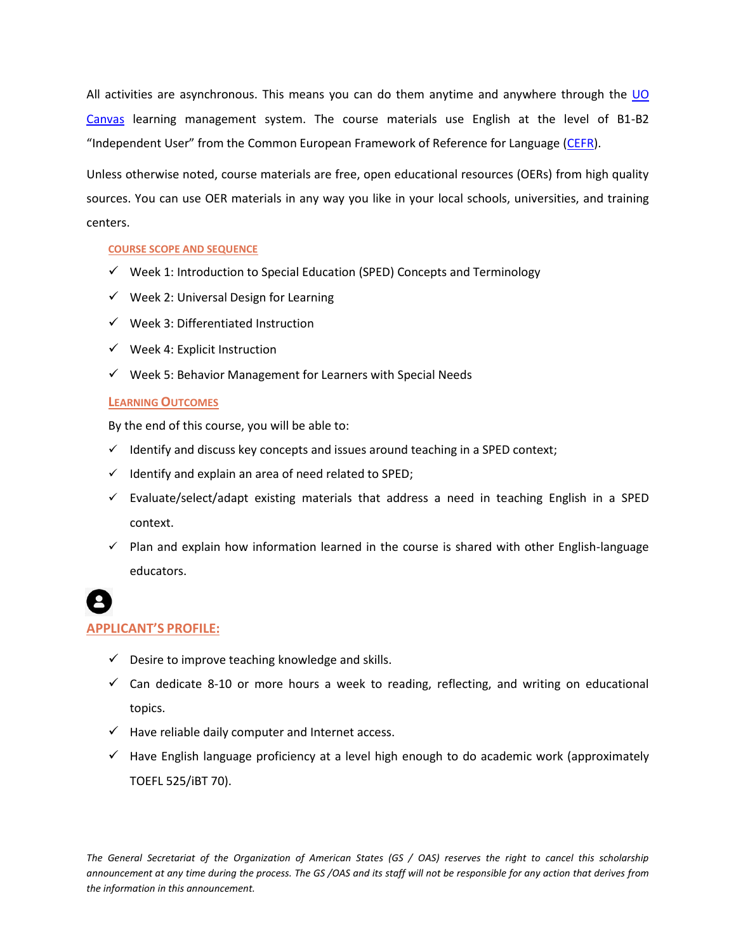All activities are asynchronous. This means you can do them anytime and anywhere through the UO [Canvas](https://library.uoregon.edu/cmet/canvas/help/students1) learning management system. The course materials use English at the level of B1-B2 "Independent User" from the Common European Framework of Reference for Language [\(CEFR\)](http://www.coe.int/t/dg4/linguistic/cadre1_en.asp).

Unless otherwise noted, course materials are free, open educational resources (OERs) from high quality sources. You can use OER materials in any way you like in your local schools, universities, and training centers.

#### **COURSE SCOPE AND SEQUENCE**

- $\checkmark$  Week 1: Introduction to Special Education (SPED) Concepts and Terminology
- $\checkmark$  Week 2: Universal Design for Learning
- $\checkmark$  Week 3: Differentiated Instruction
- $\checkmark$  Week 4: Explicit Instruction
- $\checkmark$  Week 5: Behavior Management for Learners with Special Needs

#### **LEARNING OUTCOMES**

By the end of this course, you will be able to:

- $\checkmark$  Identify and discuss key concepts and issues around teaching in a SPED context;
- $\checkmark$  Identify and explain an area of need related to SPED;
- $\checkmark$  Evaluate/select/adapt existing materials that address a need in teaching English in a SPED context.
- $\checkmark$  Plan and explain how information learned in the course is shared with other English-language educators.

# **APPLICANT'S PROFILE:**

### $\checkmark$  Desire to improve teaching knowledge and skills.

- $\checkmark$  Can dedicate 8-10 or more hours a week to reading, reflecting, and writing on educational topics.
- $\checkmark$  Have reliable daily computer and Internet access.
- $\checkmark$  Have English language proficiency at a level high enough to do academic work (approximately TOEFL 525/iBT 70).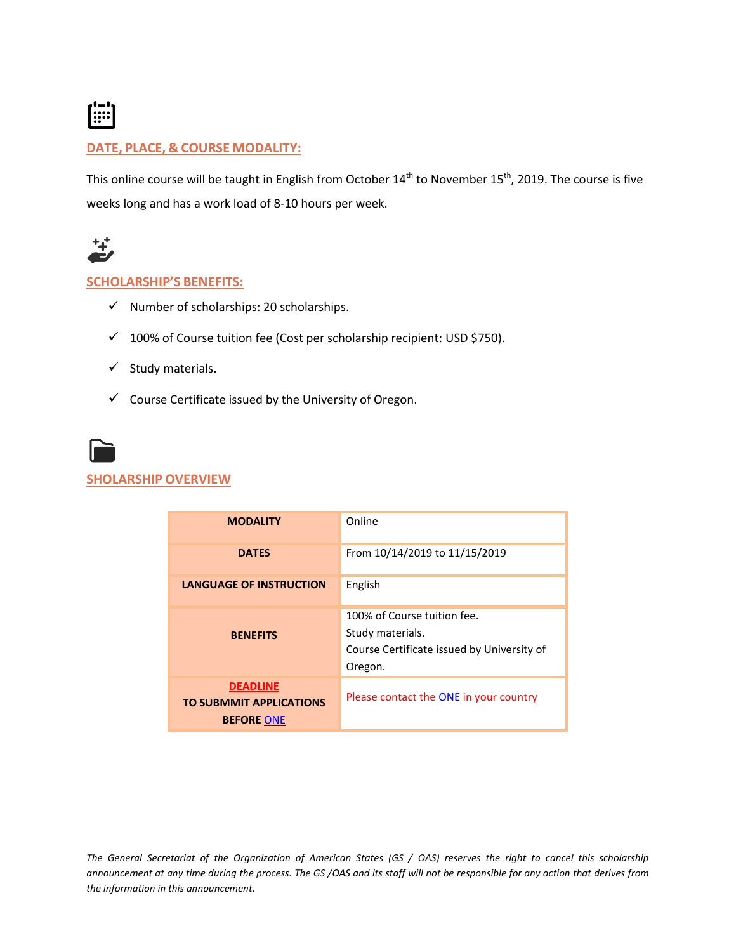

#### **DATE, PLACE, & COURSE MODALITY:**

This online course will be taught in English from October  $14^{th}$  to November  $15^{th}$ , 2019. The course is five weeks long and has a work load of 8-10 hours per week.



#### **SCHOLARSHIP'S BENEFITS:**

- $\checkmark$  Number of scholarships: 20 scholarships.
- $\checkmark$  100% of Course tuition fee (Cost per scholarship recipient: USD \$750).
- $\checkmark$  Study materials.
- $\checkmark$  Course Certificate issued by the University of Oregon.



#### **SHOLARSHIP OVERVIEW**

| <b>MODALITY</b>                                                        | Online                                                                                                   |
|------------------------------------------------------------------------|----------------------------------------------------------------------------------------------------------|
| <b>DATES</b>                                                           | From 10/14/2019 to 11/15/2019                                                                            |
| <b>LANGUAGE OF INSTRUCTION</b>                                         | English                                                                                                  |
| <b>BENEFITS</b>                                                        | 100% of Course tuition fee.<br>Study materials.<br>Course Certificate issued by University of<br>Oregon. |
| <b>DEADLINE</b><br><b>TO SUBMMIT APPLICATIONS</b><br><b>BEFORE ONE</b> | Please contact the ONE in your country                                                                   |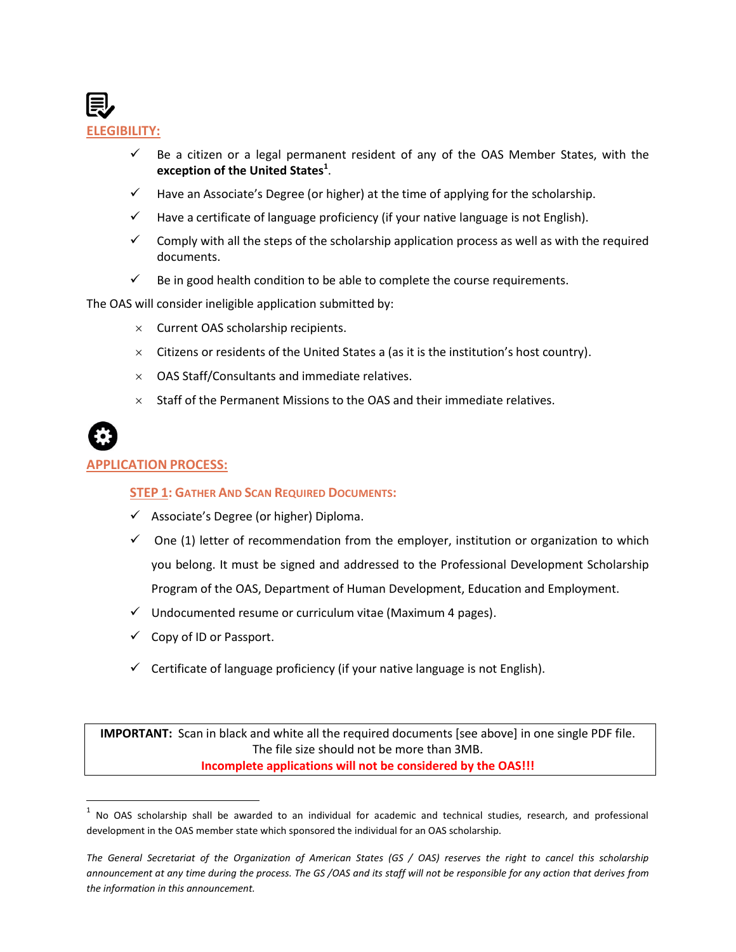

- $\checkmark$  Be a citizen or a legal permanent resident of any of the OAS Member States, with the **exception of the United States<sup>1</sup>** .
- $\checkmark$  Have an Associate's Degree (or higher) at the time of applying for the scholarship.
- $\checkmark$  Have a certificate of language proficiency (if your native language is not English).
- $\checkmark$  Comply with all the steps of the scholarship application process as well as with the required documents.
- $\checkmark$  Be in good health condition to be able to complete the course requirements.

The OAS will consider ineligible application submitted by:

- $\times$  Current OAS scholarship recipients.
- $\times$  Citizens or residents of the United States a (as it is the institution's host country).
- $\times$  OAS Staff/Consultants and immediate relatives.
- $\times$  Staff of the Permanent Missions to the OAS and their immediate relatives.



l

#### **APPLICATION PROCESS:**

#### **STEP 1: GATHER AND SCAN REQUIRED DOCUMENTS:**

- $\checkmark$  Associate's Degree (or higher) Diploma.
- $\checkmark$  One (1) letter of recommendation from the employer, institution or organization to which you belong. It must be signed and addressed to the Professional Development Scholarship Program of the OAS, Department of Human Development, Education and Employment.
- $\checkmark$  Undocumented resume or curriculum vitae (Maximum 4 pages).
- $\checkmark$  Copy of ID or Passport.
- $\checkmark$  Certificate of language proficiency (if your native language is not English).

**IMPORTANT:** Scan in black and white all the required documents [see above] in one single PDF file. The file size should not be more than 3MB. **Incomplete applications will not be considered by the OAS!!!**

 $<sup>1</sup>$  No OAS scholarship shall be awarded to an individual for academic and technical studies, research, and professional</sup> development in the OAS member state which sponsored the individual for an OAS scholarship.

*The General Secretariat of the Organization of American States (GS / OAS) reserves the right to cancel this scholarship announcement at any time during the process. The GS /OAS and its staff will not be responsible for any action that derives from the information in this announcement.*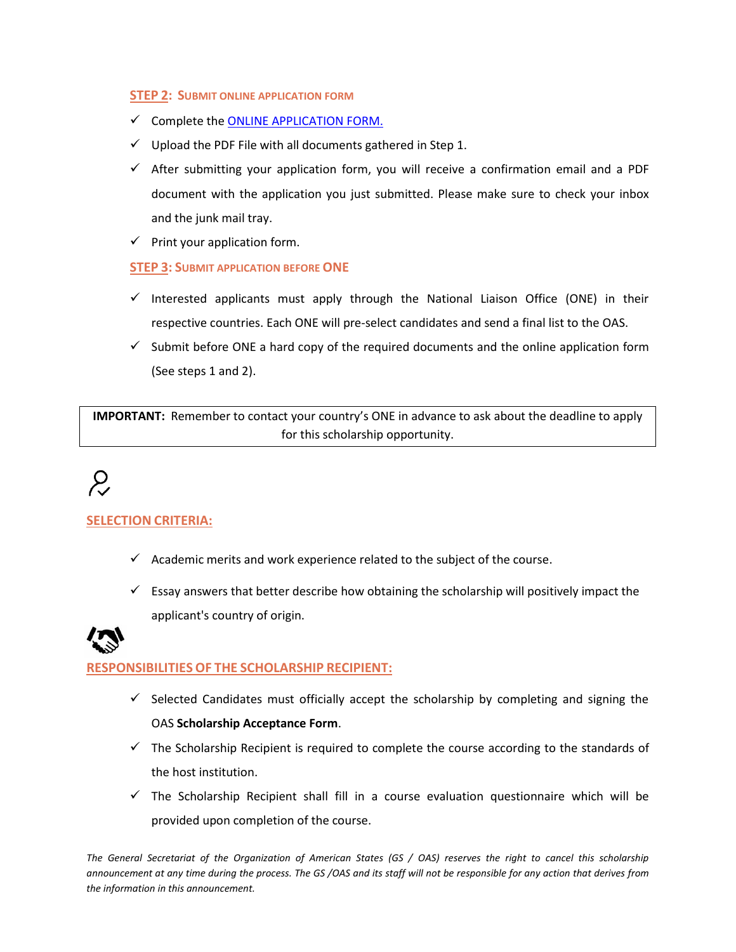#### **STEP 2: SUBMIT ONLINE APPLICATION FORM**

- $\checkmark$  Complete the [ONLINE APPLICATION FORM.](https://www.oas.org/fms/Announcement.aspx?id=1067&Type=2&Lang=eng)
- $\checkmark$  Upload the PDF File with all documents gathered in Step 1.
- $\checkmark$  After submitting your application form, you will receive a confirmation email and a PDF document with the application you just submitted. Please make sure to check your inbox and the junk mail tray.
- $\checkmark$  Print your application form.

#### **STEP 3: SUBMIT APPLICATION BEFORE ONE**

- $\checkmark$  Interested applicants must apply through the National Liaison Office (ONE) in their respective countries. Each ONE will pre-select candidates and send a final list to the OAS.
- $\checkmark$  Submit before ONE a hard copy of the required documents and the online application form (See steps 1 and 2).

**IMPORTANT:** Remember to contact your country's ONE in advance to ask about the deadline to apply for this scholarship opportunity.

# $\mathcal{L}$

#### **SELECTION CRITERIA:**

- $\checkmark$  Academic merits and work experience related to the subject of the course.
- $\checkmark$  Essay answers that better describe how obtaining the scholarship will positively impact the applicant's country of origin.



#### **RESPONSIBILITIES OF THE SCHOLARSHIP RECIPIENT:**

- $\checkmark$  Selected Candidates must officially accept the scholarship by completing and signing the OAS **Scholarship Acceptance Form**.
- $\checkmark$  The Scholarship Recipient is required to complete the course according to the standards of the host institution.
- $\checkmark$  The Scholarship Recipient shall fill in a course evaluation questionnaire which will be provided upon completion of the course.